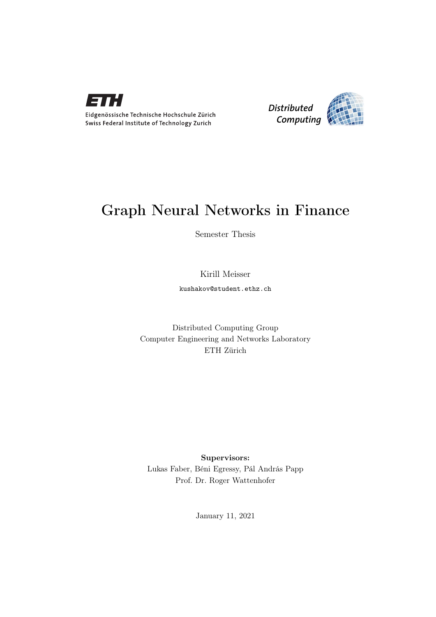

Eidgenössische Technische Hochschule Zürich Swiss Federal Institute of Technology Zurich



### Graph Neural Networks in Finance

Semester Thesis

### Kirill Meisser

kushakov@student.ethz.ch

Distributed Computing Group Computer Engineering and Networks Laboratory ETH Zürich

Supervisors: Lukas Faber, Béni Egressy, Pál András Papp Prof. Dr. Roger Wattenhofer

January 11, 2021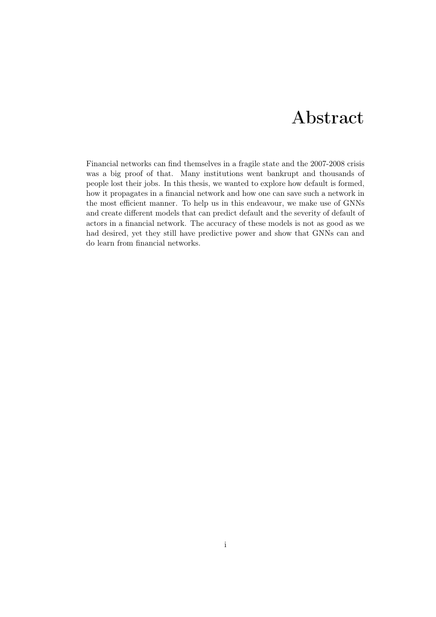### Abstract

<span id="page-1-0"></span>Financial networks can find themselves in a fragile state and the 2007-2008 crisis was a big proof of that. Many institutions went bankrupt and thousands of people lost their jobs. In this thesis, we wanted to explore how default is formed, how it propagates in a financial network and how one can save such a network in the most efficient manner. To help us in this endeavour, we make use of GNNs and create different models that can predict default and the severity of default of actors in a financial network. The accuracy of these models is not as good as we had desired, yet they still have predictive power and show that GNNs can and do learn from financial networks.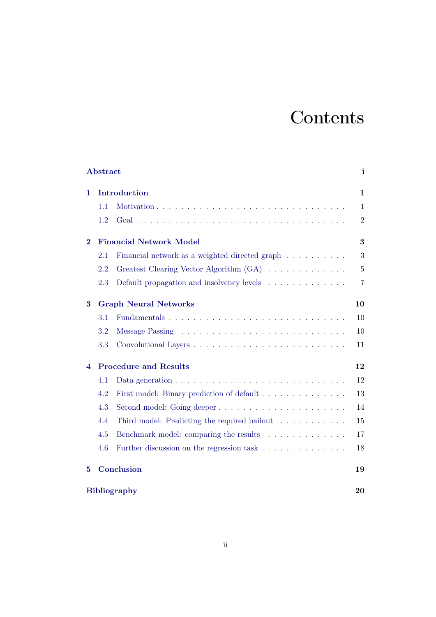# **Contents**

|                                   | Abstract                     |                                                                                         |                |  |
|-----------------------------------|------------------------------|-----------------------------------------------------------------------------------------|----------------|--|
| 1.                                | Introduction                 |                                                                                         |                |  |
|                                   | 1.1                          |                                                                                         | $\mathbf{1}$   |  |
|                                   | 1.2                          |                                                                                         | $\overline{2}$ |  |
| $\bf{2}$                          |                              | <b>Financial Network Model</b>                                                          | 3              |  |
|                                   | 2.1                          | Financial network as a weighted directed graph                                          | 3              |  |
|                                   | 2.2                          | Greatest Clearing Vector Algorithm (GA)                                                 | $\bf 5$        |  |
|                                   | 2.3                          | Default propagation and insolvency levels                                               | $\overline{7}$ |  |
| <b>Graph Neural Networks</b><br>3 |                              |                                                                                         |                |  |
|                                   | 3.1                          |                                                                                         | 10             |  |
|                                   | 3.2                          |                                                                                         | 10             |  |
|                                   | 3.3                          |                                                                                         | 11             |  |
| 4                                 | <b>Procedure and Results</b> |                                                                                         |                |  |
|                                   | 4.1                          | Data generation $\ldots \ldots \ldots \ldots \ldots \ldots \ldots \ldots \ldots \ldots$ | 12             |  |
|                                   | 4.2                          | First model: Binary prediction of default                                               | 13             |  |
|                                   | 4.3                          | Second model: Going deeper                                                              | 14             |  |
|                                   | 4.4                          | Third model: Predicting the required bailout                                            | 15             |  |
|                                   | 4.5                          | Benchmark model: comparing the results                                                  | 17             |  |
|                                   | 4.6                          | Further discussion on the regression task                                               | 18             |  |
| $\bf{5}$                          | Conclusion<br>19             |                                                                                         |                |  |
|                                   | <b>Bibliography</b><br>20    |                                                                                         |                |  |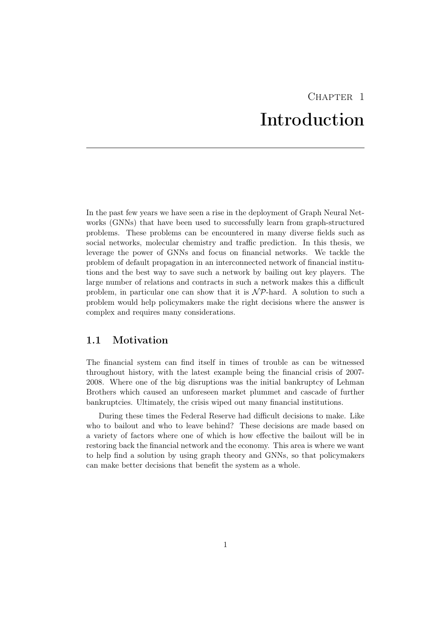## $CHAPTER$  1 Introduction

<span id="page-3-0"></span>In the past few years we have seen a rise in the deployment of Graph Neural Networks (GNNs) that have been used to successfully learn from graph-structured problems. These problems can be encountered in many diverse fields such as social networks, molecular chemistry and traffic prediction. In this thesis, we leverage the power of GNNs and focus on financial networks. We tackle the problem of default propagation in an interconnected network of financial institutions and the best way to save such a network by bailing out key players. The large number of relations and contracts in such a network makes this a difficult problem, in particular one can show that it is  $\mathcal{NP}$ -hard. A solution to such a problem would help policymakers make the right decisions where the answer is complex and requires many considerations.

#### <span id="page-3-1"></span>1.1 Motivation

The financial system can find itself in times of trouble as can be witnessed throughout history, with the latest example being the financial crisis of 2007- 2008. Where one of the big disruptions was the initial bankruptcy of Lehman Brothers which caused an unforeseen market plummet and cascade of further bankruptcies. Ultimately, the crisis wiped out many financial institutions.

During these times the Federal Reserve had difficult decisions to make. Like who to bailout and who to leave behind? These decisions are made based on a variety of factors where one of which is how effective the bailout will be in restoring back the financial network and the economy. This area is where we want to help find a solution by using graph theory and GNNs, so that policymakers can make better decisions that benefit the system as a whole.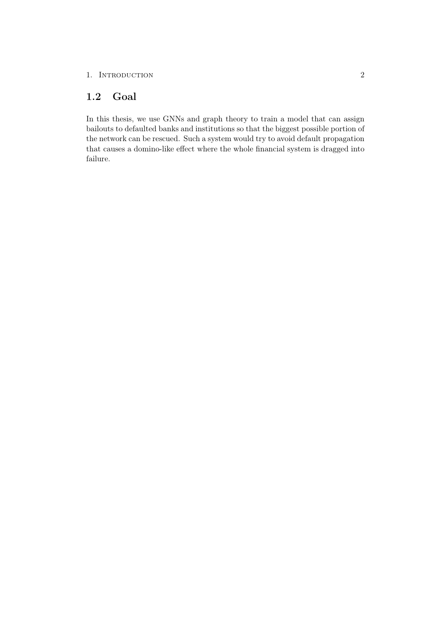### <span id="page-4-0"></span>1.2 Goal

In this thesis, we use GNNs and graph theory to train a model that can assign bailouts to defaulted banks and institutions so that the biggest possible portion of the network can be rescued. Such a system would try to avoid default propagation that causes a domino-like effect where the whole financial system is dragged into failure.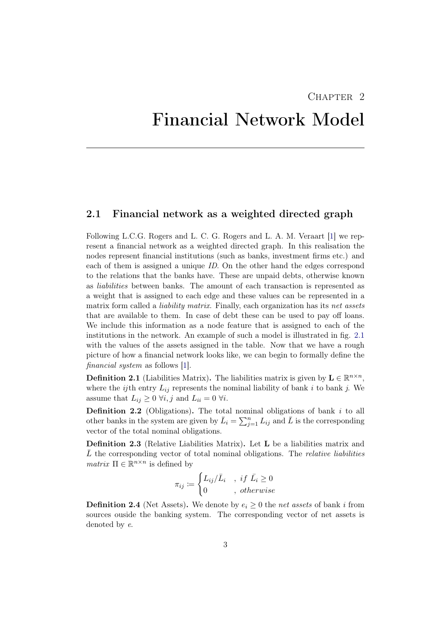### CHAPTER<sub>2</sub>

## <span id="page-5-0"></span>Financial Network Model

#### <span id="page-5-1"></span>2.1 Financial network as a weighted directed graph

Following L.C.G. Rogers and L. C. G. Rogers and L. A. M. Veraart [\[1\]](#page-22-1) we represent a financial network as a weighted directed graph. In this realisation the nodes represent financial institutions (such as banks, investment firms etc.) and each of them is assigned a unique ID. On the other hand the edges correspond to the relations that the banks have. These are unpaid debts, otherwise known as liabilities between banks. The amount of each transaction is represented as a weight that is assigned to each edge and these values can be represented in a matrix form called a *liability matrix*. Finally, each organization has its net assets that are available to them. In case of debt these can be used to pay off loans. We include this information as a node feature that is assigned to each of the institutions in the network. An example of such a model is illustrated in fig. [2.1](#page-6-0) with the values of the assets assigned in the table. Now that we have a rough picture of how a financial network looks like, we can begin to formally define the financial system as follows [\[1\]](#page-22-1).

**Definition 2.1** (Liabilities Matrix). The liabilities matrix is given by  $\mathbf{L} \in \mathbb{R}^{n \times n}$ , where the *ij*th entry  $L_{ij}$  represents the nominal liability of bank i to bank j. We assume that  $L_{ij} \geq 0 \ \forall i, j$  and  $L_{ii} = 0 \ \forall i$ .

**Definition 2.2** (Obligations). The total nominal obligations of bank  $i$  to all other banks in the system are given by  $\bar{L}_i = \sum_{j=1}^n L_{ij}$  and  $\bar{L}$  is the corresponding vector of the total nominal obligations.

Definition 2.3 (Relative Liabilities Matrix). Let L be a liabilities matrix and  $\bar{L}$  the corresponding vector of total nominal obligations. The relative liabilities matrix  $\Pi \in \mathbb{R}^{n \times n}$  is defined by

$$
\pi_{ij} \coloneqq \begin{cases} L_{ij}/\bar{L}_i & ,\; if \; \bar{L}_i \geq 0 \\ 0 & ,\; otherwise \end{cases}
$$

**Definition 2.4** (Net Assets). We denote by  $e_i \geq 0$  the net assets of bank i from sources ouside the banking system. The corresponding vector of net assets is denoted by e.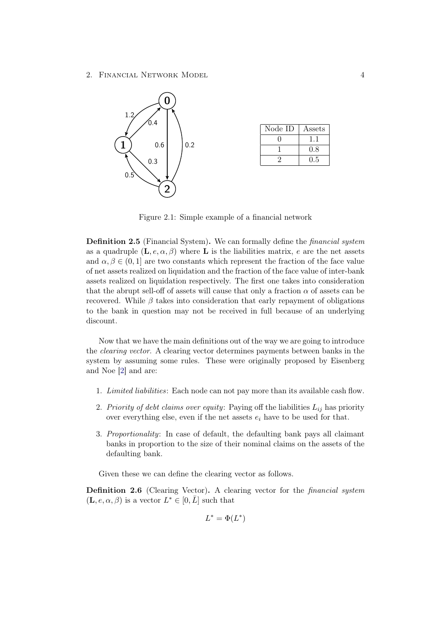2. Financial Network Model 4



| Node ID | Assets |
|---------|--------|
|         |        |
|         | 0.8    |
|         | 0.5    |

<span id="page-6-0"></span>Figure 2.1: Simple example of a financial network

Definition 2.5 (Financial System). We can formally define the financial system as a quadruple  $(L, e, \alpha, \beta)$  where L is the liabilities matrix, e are the net assets and  $\alpha, \beta \in (0, 1]$  are two constants which represent the fraction of the face value of net assets realized on liquidation and the fraction of the face value of inter-bank assets realized on liquidation respectively. The first one takes into consideration that the abrupt sell-off of assets will cause that only a fraction  $\alpha$  of assets can be recovered. While  $\beta$  takes into consideration that early repayment of obligations to the bank in question may not be received in full because of an underlying discount.

Now that we have the main definitions out of the way we are going to introduce the clearing vector. A clearing vector determines payments between banks in the system by assuming some rules. These were originally proposed by Eisenberg and Noe [\[2\]](#page-22-2) and are:

- 1. Limited liabilities: Each node can not pay more than its available cash flow.
- 2. Priority of debt claims over equity: Paying off the liabilities  $L_{ij}$  has priority over everything else, even if the net assets  $e_i$  have to be used for that.
- 3. Proportionality: In case of default, the defaulting bank pays all claimant banks in proportion to the size of their nominal claims on the assets of the defaulting bank.

Given these we can define the clearing vector as follows.

Definition 2.6 (Clearing Vector). A clearing vector for the *financial system*  $(L, e, \alpha, \beta)$  is a vector  $L^* \in [0, \overline{L}]$  such that

$$
L^* = \Phi(L^*)
$$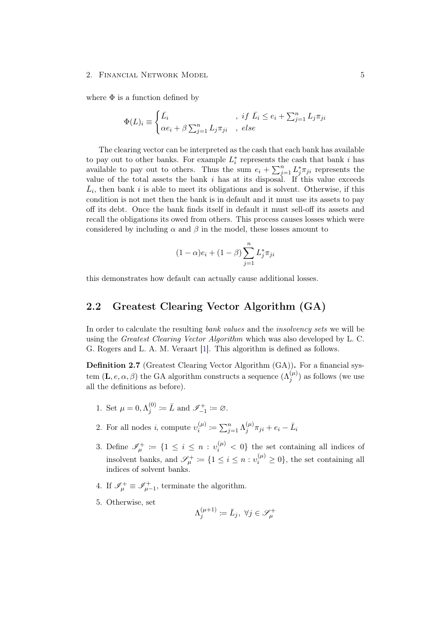#### 2. FINANCIAL NETWORK MODEL 5

where  $\Phi$  is a function defined by

$$
\Phi(L)_i \equiv \begin{cases} \bar{L}_i & , \text{ if } \bar{L}_i \le e_i + \sum_{j=1}^n L_j \pi_{ji} \\ \alpha e_i + \beta \sum_{j=1}^n L_j \pi_{ji} & , \text{ else} \end{cases}
$$

The clearing vector can be interpreted as the cash that each bank has available to pay out to other banks. For example  $L_i^*$  represents the cash that bank i has available to pay out to others. Thus the sum  $e_i + \sum_{j=1}^n L_j^* \pi_{ji}$  represents the value of the total assets the bank  $i$  has at its disposal. If this value exceeds  $\bar{L}_i$ , then bank i is able to meet its obligations and is solvent. Otherwise, if this condition is not met then the bank is in default and it must use its assets to pay off its debt. Once the bank finds itself in default it must sell-off its assets and recall the obligations its owed from others. This process causes losses which were considered by including  $\alpha$  and  $\beta$  in the model, these losses amount to

$$
(1 - \alpha)e_i + (1 - \beta) \sum_{j=1}^{n} L_j^* \pi_{ji}
$$

this demonstrates how default can actually cause additional losses.

#### <span id="page-7-0"></span>2.2 Greatest Clearing Vector Algorithm (GA)

In order to calculate the resulting bank values and the insolvency sets we will be using the Greatest Clearing Vector Algorithm which was also developed by L. C. G. Rogers and L. A. M. Veraart [\[1\]](#page-22-1). This algorithm is defined as follows.

Definition 2.7 (Greatest Clearing Vector Algorithm (GA)). For a financial system  $(L, e, \alpha, \beta)$  the GA algorithm constructs a sequence  $(\Lambda_j^{(\mu)})$  as follows (we use all the definitions as before).

- 1. Set  $\mu = 0, \Lambda_i^{(0)}$  $j^{(0)}_{j} \coloneqq \bar{L} \text{ and } \mathscr{I}_{-1}^{+} \coloneqq \varnothing.$
- 2. For all nodes *i*, compute  $v_i^{(\mu)}$  $\lambda_i^{(\mu)}\coloneqq\sum_{j=1}^n\Lambda_j^{(\mu)}$  $\bar{u}_j^{(\mu)}\pi_{ji} + e_i - \bar{L}_i$
- 3. Define  $\mathscr{I}_{\mu}^{+} := \{1 \leq i \leq n : v_i^{(\mu)} < 0\}$  the set containing all indices of insolvent banks, and  $\mathscr{S}_{\mu}^{+} \coloneqq \{1 \leq i \leq n : v_i^{(\mu)} \geq 0\}$ , the set containing all indices of solvent banks.
- 4. If  $\mathscr{I}_{\mu}^{+} \equiv \mathscr{I}_{\mu-1}^{+}$ , terminate the algorithm.
- 5. Otherwise, set

$$
\Lambda_j^{(\mu+1)} \coloneqq \bar{L}_j, \ \forall j \in \mathscr{S}_\mu^+
$$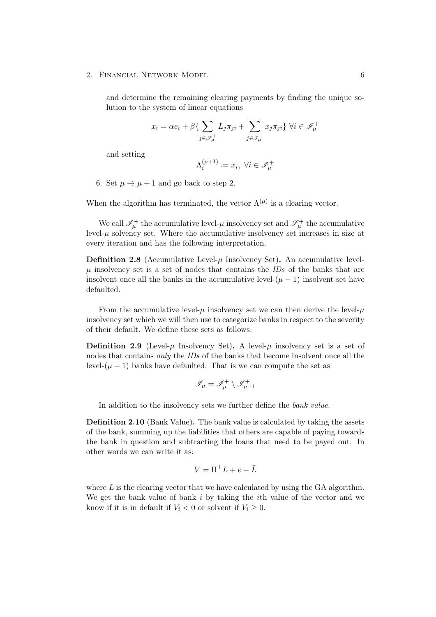2. FINANCIAL NETWORK MODEL 6

and determine the remaining clearing payments by finding the unique solution to the system of linear equations

$$
x_i = \alpha e_i + \beta \{ \sum_{j \in \mathcal{S}_{\mu}^+} \bar{L}_j \pi_{ji} + \sum_{j \in \mathcal{J}_{\mu}^+} x_j \pi_{ji} \} \ \forall i \in \mathcal{J}_{\mu}^+
$$

and setting

$$
\Lambda^{(\mu+1)}_i\coloneqq x_i, \; \forall i\in\mathscr{I}^+_\mu
$$

6. Set  $\mu \rightarrow \mu + 1$  and go back to step 2.

When the algorithm has terminated, the vector  $\Lambda^{(\mu)}$  is a clearing vector.

We call  $\mathscr{I}_{\mu}^+$  the accumulative level- $\mu$  insolvency set and  $\mathscr{S}_{\mu}^+$  the accumulative level- $\mu$  solvency set. Where the accumulative insolvency set increases in size at every iteration and has the following interpretation.

**Definition 2.8** (Accumulative Level- $\mu$  Insolvency Set). An accumulative levelu insolvency set is a set of nodes that contains the  $IDs$  of the banks that are insolvent once all the banks in the accumulative level- $(\mu - 1)$  insolvent set have defaulted.

From the accumulative level- $\mu$  insolvency set we can then derive the level- $\mu$ insolvency set which we will then use to categorize banks in respect to the severity of their default. We define these sets as follows.

**Definition 2.9** (Level- $\mu$  Insolvency Set). A level- $\mu$  insolvency set is a set of nodes that contains only the IDs of the banks that become insolvent once all the level- $(\mu - 1)$  banks have defaulted. That is we can compute the set as

$$
\mathscr{I}_\mu=\mathscr{I}_\mu^+\setminus\mathscr{I}_{\mu-1}^+
$$

In addition to the insolvency sets we further define the *bank value*.

Definition 2.10 (Bank Value). The bank value is calculated by taking the assets of the bank, summing up the liabilities that others are capable of paying towards the bank in question and subtracting the loans that need to be payed out. In other words we can write it as:

$$
V = \Pi^\top L + e - \bar{L}
$$

where  $L$  is the clearing vector that we have calculated by using the GA algorithm. We get the bank value of bank  $i$  by taking the *i*th value of the vector and we know if it is in default if  $V_i < 0$  or solvent if  $V_i \geq 0$ .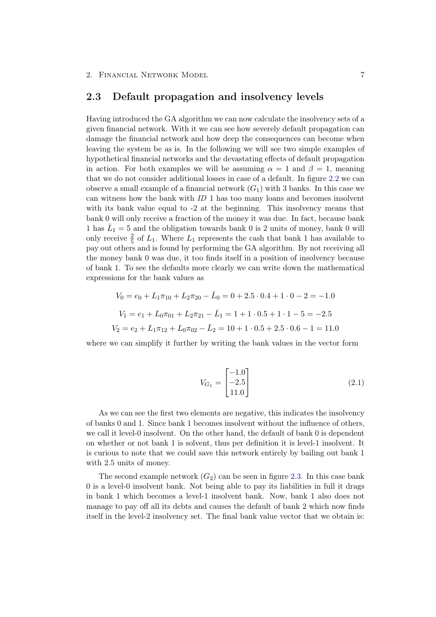#### <span id="page-9-0"></span>2.3 Default propagation and insolvency levels

Having introduced the GA algorithm we can now calculate the insolvency sets of a given financial network. With it we can see how severely default propagation can damage the financial network and how deep the consequences can become when leaving the system be as is. In the following we will see two simple examples of hypothetical financial networks and the devastating effects of default propagation in action. For both examples we will be assuming  $\alpha = 1$  and  $\beta = 1$ , meaning that we do not consider additional losses in case of a default. In figure [2.2](#page-11-0) we can observe a small example of a financial network  $(G_1)$  with 3 banks. In this case we can witness how the bank with ID 1 has too many loans and becomes insolvent with its bank value equal to  $-2$  at the beginning. This insolvency means that bank 0 will only receive a fraction of the money it was due. In fact, because bank 1 has  $\overline{L}_1 = 5$  and the obligation towards bank 0 is 2 units of money, bank 0 will only receive  $\frac{2}{5}$  of  $L_1$ . Where  $L_1$  represents the cash that bank 1 has available to pay out others and is found by performing the GA algorithm. By not receiving all the money bank 0 was due, it too finds itself in a position of insolvency because of bank 1. To see the defaults more clearly we can write down the mathematical expressions for the bank values as

$$
V_0 = e_0 + L_1 \pi_{10} + L_2 \pi_{20} - \bar{L}_0 = 0 + 2.5 \cdot 0.4 + 1 \cdot 0 - 2 = -1.0
$$
  

$$
V_1 = e_1 + L_0 \pi_{01} + L_2 \pi_{21} - \bar{L}_1 = 1 + 1 \cdot 0.5 + 1 \cdot 1 - 5 = -2.5
$$
  

$$
V_2 = e_2 + L_1 \pi_{12} + L_0 \pi_{02} - \bar{L}_2 = 10 + 1 \cdot 0.5 + 2.5 \cdot 0.6 - 1 = 11.0
$$

where we can simplify it further by writing the bank values in the vector form

$$
V_{G_1} = \begin{bmatrix} -1.0\\ -2.5\\ 11.0 \end{bmatrix} \tag{2.1}
$$

As we can see the first two elements are negative, this indicates the insolvency of banks 0 and 1. Since bank 1 becomes insolvent without the influence of others, we call it level-0 insolvent. On the other hand, the default of bank 0 is dependent on whether or not bank 1 is solvent, thus per definition it is level-1 insolvent. It is curious to note that we could save this network entirely by bailing out bank 1 with 2.5 units of money.

The second example network  $(G_2)$  can be seen in figure [2.3.](#page-11-1) In this case bank 0 is a level-0 insolvent bank. Not being able to pay its liabilities in full it drags in bank 1 which becomes a level-1 insolvent bank. Now, bank 1 also does not manage to pay off all its debts and causes the default of bank 2 which now finds itself in the level-2 insolvency set. The final bank value vector that we obtain is: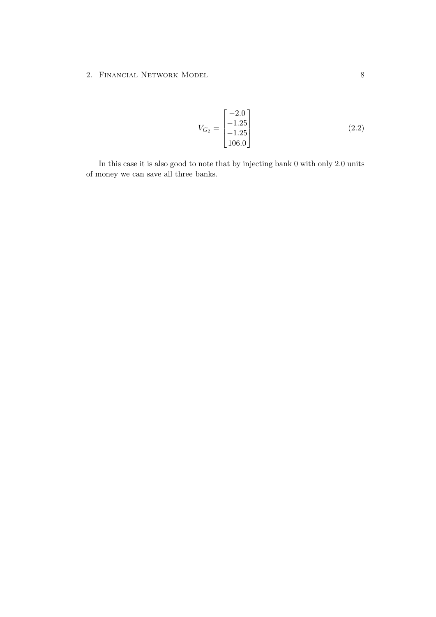2. FINANCIAL NETWORK MODEL 8

$$
V_{G_2} = \begin{bmatrix} -2.0\\ -1.25\\ -1.25\\ 106.0 \end{bmatrix}
$$
 (2.2)

In this case it is also good to note that by injecting bank 0 with only 2.0 units of money we can save all three banks.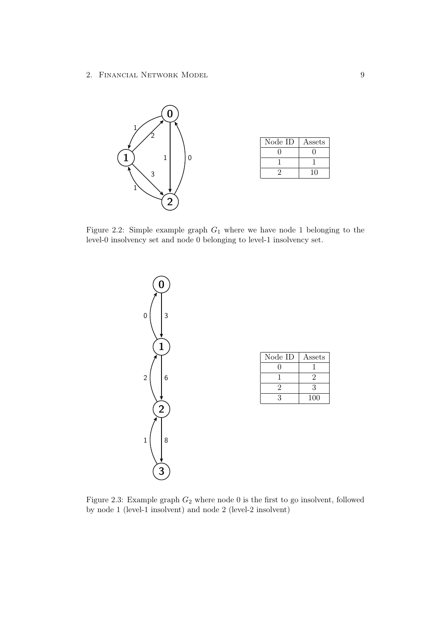2. Financial Network Model 9



| Node ID | Assets |
|---------|--------|
|         |        |
|         |        |
|         |        |

Figure 2.2: Simple example graph  $G_1$  where we have node 1 belonging to the level-0 insolvency set and node 0 belonging to level-1 insolvency set.

<span id="page-11-0"></span>

<span id="page-11-1"></span>Figure 2.3: Example graph  $G_2$  where node 0 is the first to go insolvent, followed by node 1 (level-1 insolvent) and node 2 (level-2 insolvent)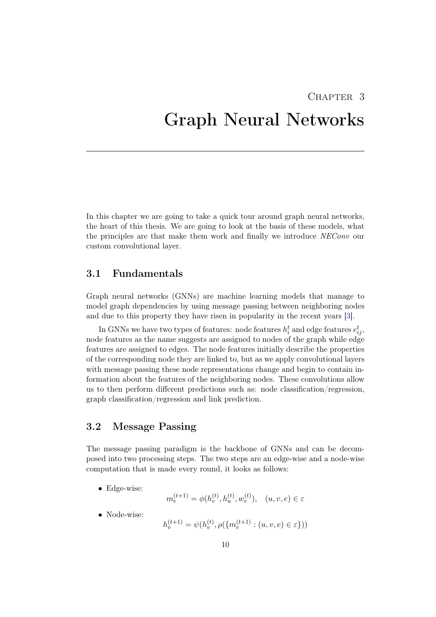### CHAPTER<sub>3</sub>

## <span id="page-12-0"></span>Graph Neural Networks

In this chapter we are going to take a quick tour around graph neural networks, the heart of this thesis. We are going to look at the basis of these models, what the principles are that make them work and finally we introduce NEConv our custom convolutional layer.

#### <span id="page-12-1"></span>3.1 Fundamentals

Graph neural networks (GNNs) are machine learning models that manage to model graph dependencies by using message passing between neighboring nodes and due to this property they have risen in popularity in the recent years [\[3\]](#page-22-3).

In GNNs we have two types of features: node features  $h_i^t$  and edge features  $e_{ij}^t$ , node features as the name suggests are assigned to nodes of the graph while edge features are assigned to edges. The node features initially describe the properties of the corresponding node they are linked to, but as we apply convolutional layers with message passing these node representations change and begin to contain information about the features of the neighboring nodes. These convolutions allow us to then perform different predictions such as: node classification/regression, graph classification/regression and link prediction.

### <span id="page-12-2"></span>3.2 Message Passing

The message passing paradigm is the backbone of GNNs and can be decomposed into two processing steps. The two steps are an edge-wise and a node-wise computation that is made every round, it looks as follows:

• Edge-wise:

$$
m_e^{(t+1)} = \phi(h_v^{(t)}, h_u^{(t)}, w_e^{(t)}), \quad (u, v, e) \in \varepsilon
$$

• Node-wise:

 $h_v^{(t+1)} = \psi(h_v^{(t)}, \rho(\{m_e^{(t+1)} : (u, v, e) \in \varepsilon\}))$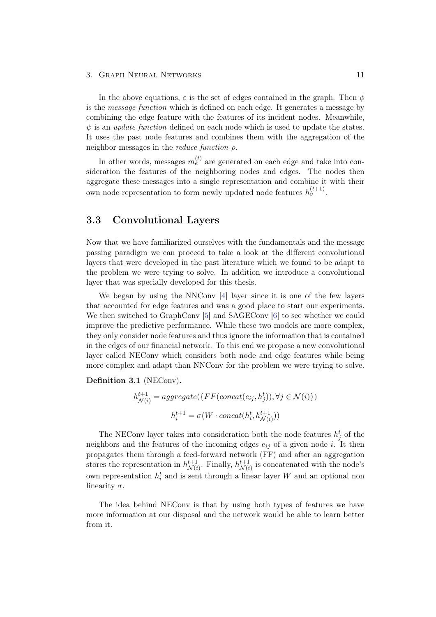#### 3. GRAPH NEURAL NETWORKS 11

In the above equations,  $\varepsilon$  is the set of edges contained in the graph. Then  $\phi$ is the message function which is defined on each edge. It generates a message by combining the edge feature with the features of its incident nodes. Meanwhile,  $\psi$  is an *update function* defined on each node which is used to update the states. It uses the past node features and combines them with the aggregation of the neighbor messages in the *reduce function*  $\rho$ .

In other words, messages  $m_e^{(t)}$  are generated on each edge and take into consideration the features of the neighboring nodes and edges. The nodes then aggregate these messages into a single representation and combine it with their own node representation to form newly updated node features  $h_v^{(t+1)}$ .

#### <span id="page-13-0"></span>3.3 Convolutional Layers

Now that we have familiarized ourselves with the fundamentals and the message passing paradigm we can proceed to take a look at the different convolutional layers that were developed in the past literature which we found to be adapt to the problem we were trying to solve. In addition we introduce a convolutional layer that was specially developed for this thesis.

We began by using the NNConv [\[4\]](#page-22-4) layer since it is one of the few layers that accounted for edge features and was a good place to start our experiments. We then switched to GraphConv [\[5\]](#page-22-5) and SAGEConv [\[6\]](#page-22-6) to see whether we could improve the predictive performance. While these two models are more complex, they only consider node features and thus ignore the information that is contained in the edges of our financial network. To this end we propose a new convolutional layer called NEConv which considers both node and edge features while being more complex and adapt than NNConv for the problem we were trying to solve.

Definition 3.1 (NEConv).

$$
h_{\mathcal{N}(i)}^{t+1} = aggregate(\{FF(concat(e_{ij}, h_j^t)), \forall j \in \mathcal{N}(i)\})
$$

$$
h_i^{t+1} = \sigma(W \cdot concat(h_i^t, h_{\mathcal{N}(i)}^{t+1}))
$$

The NEConv layer takes into consideration both the node features  $h_j^t$  of the neighbors and the features of the incoming edges  $e_{ij}$  of a given node i. It then propagates them through a feed-forward network (FF) and after an aggregation stores the representation in  $h_{\mathcal{M}_{d}}^{t+1}$  $\chi_{N(i)}^{t+1}$ . Finally,  $h_{\mathcal{N}(i)}^{t+1}$  $\mathcal{N}(i)$  is concatenated with the node's own representation  $h_i^t$  and is sent through a linear layer W and an optional non linearity  $\sigma$ .

The idea behind NEConv is that by using both types of features we have more information at our disposal and the network would be able to learn better from it.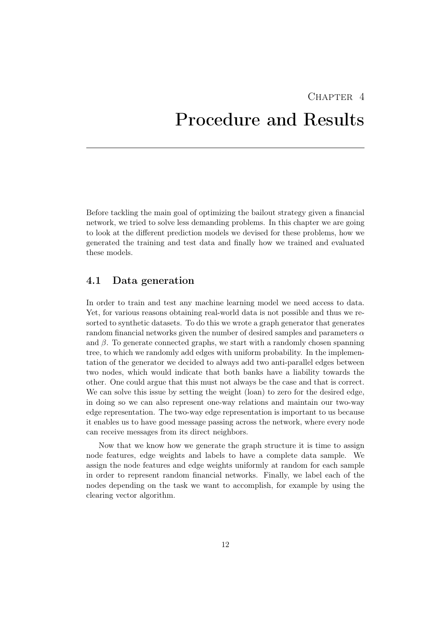# <span id="page-14-0"></span> $CHAPTER$  4 Procedure and Results

Before tackling the main goal of optimizing the bailout strategy given a financial network, we tried to solve less demanding problems. In this chapter we are going to look at the different prediction models we devised for these problems, how we generated the training and test data and finally how we trained and evaluated these models.

#### <span id="page-14-1"></span>4.1 Data generation

In order to train and test any machine learning model we need access to data. Yet, for various reasons obtaining real-world data is not possible and thus we resorted to synthetic datasets. To do this we wrote a graph generator that generates random financial networks given the number of desired samples and parameters  $\alpha$ and  $\beta$ . To generate connected graphs, we start with a randomly chosen spanning tree, to which we randomly add edges with uniform probability. In the implementation of the generator we decided to always add two anti-parallel edges between two nodes, which would indicate that both banks have a liability towards the other. One could argue that this must not always be the case and that is correct. We can solve this issue by setting the weight (loan) to zero for the desired edge, in doing so we can also represent one-way relations and maintain our two-way edge representation. The two-way edge representation is important to us because it enables us to have good message passing across the network, where every node can receive messages from its direct neighbors.

Now that we know how we generate the graph structure it is time to assign node features, edge weights and labels to have a complete data sample. We assign the node features and edge weights uniformly at random for each sample in order to represent random financial networks. Finally, we label each of the nodes depending on the task we want to accomplish, for example by using the clearing vector algorithm.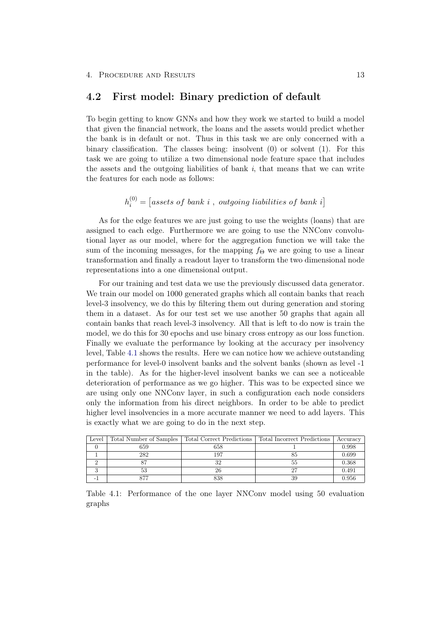$(0)$ 

#### <span id="page-15-0"></span>4.2 First model: Binary prediction of default

To begin getting to know GNNs and how they work we started to build a model that given the financial network, the loans and the assets would predict whether the bank is in default or not. Thus in this task we are only concerned with a binary classification. The classes being: insolvent (0) or solvent (1). For this task we are going to utilize a two dimensional node feature space that includes the assets and the outgoing liabilities of bank  $i$ , that means that we can write the features for each node as follows:

$$
h_i^{(0)} = [assets\ of\ bank\ i\ ,\ outgoing\ liabilities\ of\ bank\ i]
$$

As for the edge features we are just going to use the weights (loans) that are assigned to each edge. Furthermore we are going to use the NNConv convolutional layer as our model, where for the aggregation function we will take the sum of the incoming messages, for the mapping  $f_{\Theta}$  we are going to use a linear transformation and finally a readout layer to transform the two dimensional node representations into a one dimensional output.

For our training and test data we use the previously discussed data generator. We train our model on 1000 generated graphs which all contain banks that reach level-3 insolvency, we do this by filtering them out during generation and storing them in a dataset. As for our test set we use another 50 graphs that again all contain banks that reach level-3 insolvency. All that is left to do now is train the model, we do this for 30 epochs and use binary cross entropy as our loss function. Finally we evaluate the performance by looking at the accuracy per insolvency level, Table [4.1](#page-15-1) shows the results. Here we can notice how we achieve outstanding performance for level-0 insolvent banks and the solvent banks (shown as level -1 in the table). As for the higher-level insolvent banks we can see a noticeable deterioration of performance as we go higher. This was to be expected since we are using only one NNConv layer, in such a configuration each node considers only the information from his direct neighbors. In order to be able to predict higher level insolvencies in a more accurate manner we need to add layers. This is exactly what we are going to do in the next step.

| Level |     | Total Number of Samples   Total Correct Predictions | Total Incorrect Predictions | Accuracy |
|-------|-----|-----------------------------------------------------|-----------------------------|----------|
|       | 659 | 658                                                 |                             | 0.998    |
|       | 282 | 197                                                 |                             | 0.699    |
|       |     |                                                     | 55                          | 0.368    |
|       |     |                                                     |                             | 0.491    |
|       |     |                                                     |                             | 0.956    |

<span id="page-15-1"></span>Table 4.1: Performance of the one layer NNConv model using 50 evaluation graphs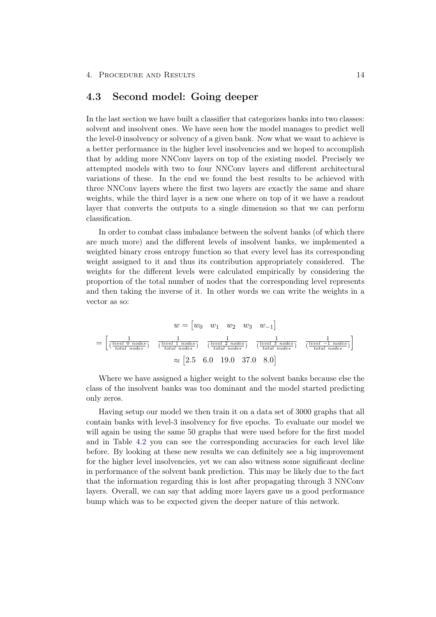### <span id="page-16-0"></span>4.3 Second model: Going deeper

In the last section we have built a classifier that categorizes banks into two classes: solvent and insolvent ones. We have seen how the model manages to predict well the level-0 insolvency or solvency of a given bank. Now what we want to achieve is a better performance in the higher level insolvencies and we hoped to accomplish that by adding more NNConv layers on top of the existing model. Precisely we attempted models with two to four NNConv layers and different architectural variations of these. In the end we found the best results to be achieved with three NNConv layers where the first two layers are exactly the same and share weights, while the third layer is a new one where on top of it we have a readout layer that converts the outputs to a single dimension so that we can perform classification.

In order to combat class imbalance between the solvent banks (of which there are much more) and the different levels of insolvent banks, we implemented a weighted binary cross entropy function so that every level has its corresponding weight assigned to it and thus its contribution appropriately considered. The weights for the different levels were calculated empirically by considering the proportion of the total number of nodes that the corresponding level represents and then taking the inverse of it. In other words we can write the weights in a vector as so:

$$
w = \begin{bmatrix} w_0 & w_1 & w_2 & w_3 & w_{-1} \end{bmatrix}
$$

$$
= \begin{bmatrix} \frac{1}{(\frac{level\ 1\ nodes}{total\ nodes})} & \frac{1}{(\frac{level\ 1\ nodes}{total\ nodes})} & \frac{1}{(\frac{level\ 2\ nodes}{total\ nodes})} & \frac{1}{(\frac{level\ 3\ nodes}{total\ nodes})} & \frac{1}{(\frac{level\ -1\ nodes}{total\ nodes})} \end{bmatrix}
$$

$$
\approx \begin{bmatrix} 2.5 & 6.0 & 19.0 & 37.0 & 8.0 \end{bmatrix}
$$

Where we have assigned a higher weight to the solvent banks because else the class of the insolvent banks was too dominant and the model started predicting only zeros.

Having setup our model we then train it on a data set of 3000 graphs that all contain banks with level-3 insolvency for five epochs. To evaluate our model we will again be using the same 50 graphs that were used before for the first model and in Table [4.2](#page-17-1) you can see the corresponding accuracies for each level like before. By looking at these new results we can definitely see a big improvement for the higher level insolvencies, yet we can also witness some significant decline in performance of the solvent bank prediction. This may be likely due to the fact that the information regarding this is lost after propagating through 3 NNConv layers. Overall, we can say that adding more layers gave us a good performance bump which was to be expected given the deeper nature of this network.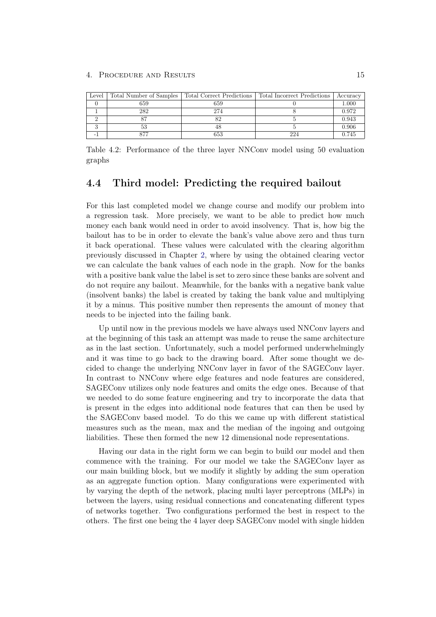#### 4. PROCEDURE AND RESULTS 15

| Level | Total Number of Samples | Total Correct Predictions | Total Incorrect Predictions | Accuracy |
|-------|-------------------------|---------------------------|-----------------------------|----------|
|       | 659                     | 659                       |                             | 1.000    |
|       | 282                     | 274                       |                             | 0.972    |
|       |                         |                           |                             | 0.943    |
|       |                         |                           |                             | 0.906    |
|       |                         | 653                       | 224                         | 0.745    |

<span id="page-17-1"></span>Table 4.2: Performance of the three layer NNConv model using 50 evaluation graphs

#### <span id="page-17-0"></span>4.4 Third model: Predicting the required bailout

For this last completed model we change course and modify our problem into a regression task. More precisely, we want to be able to predict how much money each bank would need in order to avoid insolvency. That is, how big the bailout has to be in order to elevate the bank's value above zero and thus turn it back operational. These values were calculated with the clearing algorithm previously discussed in Chapter [2,](#page-5-0) where by using the obtained clearing vector we can calculate the bank values of each node in the graph. Now for the banks with a positive bank value the label is set to zero since these banks are solvent and do not require any bailout. Meanwhile, for the banks with a negative bank value (insolvent banks) the label is created by taking the bank value and multiplying it by a minus. This positive number then represents the amount of money that needs to be injected into the failing bank.

Up until now in the previous models we have always used NNConv layers and at the beginning of this task an attempt was made to reuse the same architecture as in the last section. Unfortunately, such a model performed underwhelmingly and it was time to go back to the drawing board. After some thought we decided to change the underlying NNConv layer in favor of the SAGEConv layer. In contrast to NNConv where edge features and node features are considered, SAGEConv utilizes only node features and omits the edge ones. Because of that we needed to do some feature engineering and try to incorporate the data that is present in the edges into additional node features that can then be used by the SAGEConv based model. To do this we came up with different statistical measures such as the mean, max and the median of the ingoing and outgoing liabilities. These then formed the new 12 dimensional node representations.

Having our data in the right form we can begin to build our model and then commence with the training. For our model we take the SAGEConv layer as our main building block, but we modify it slightly by adding the sum operation as an aggregate function option. Many configurations were experimented with by varying the depth of the network, placing multi layer perceptrons (MLPs) in between the layers, using residual connections and concatenating different types of networks together. Two configurations performed the best in respect to the others. The first one being the 4 layer deep SAGEConv model with single hidden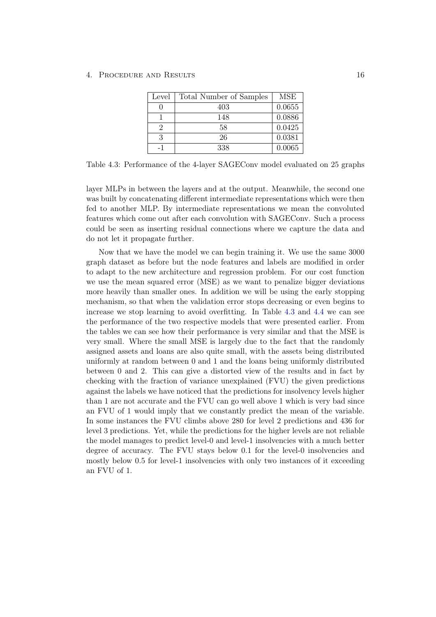| Level | Total Number of Samples | <b>MSE</b> |
|-------|-------------------------|------------|
|       | 403                     | 0.0655     |
|       | 148                     | 0.0886     |
|       | 58                      | 0.0425     |
| 3     | 26                      | 0.0381     |
|       | 338                     | 0.0065     |

<span id="page-18-0"></span>Table 4.3: Performance of the 4-layer SAGEConv model evaluated on 25 graphs

layer MLPs in between the layers and at the output. Meanwhile, the second one was built by concatenating different intermediate representations which were then fed to another MLP. By intermediate representations we mean the convoluted features which come out after each convolution with SAGEConv. Such a process could be seen as inserting residual connections where we capture the data and do not let it propagate further.

Now that we have the model we can begin training it. We use the same 3000 graph dataset as before but the node features and labels are modified in order to adapt to the new architecture and regression problem. For our cost function we use the mean squared error (MSE) as we want to penalize bigger deviations more heavily than smaller ones. In addition we will be using the early stopping mechanism, so that when the validation error stops decreasing or even begins to increase we stop learning to avoid overfitting. In Table [4.3](#page-18-0) and [4.4](#page-19-1) we can see the performance of the two respective models that were presented earlier. From the tables we can see how their performance is very similar and that the MSE is very small. Where the small MSE is largely due to the fact that the randomly assigned assets and loans are also quite small, with the assets being distributed uniformly at random between 0 and 1 and the loans being uniformly distributed between 0 and 2. This can give a distorted view of the results and in fact by checking with the fraction of variance unexplained (FVU) the given predictions against the labels we have noticed that the predictions for insolvency levels higher than 1 are not accurate and the FVU can go well above 1 which is very bad since an FVU of 1 would imply that we constantly predict the mean of the variable. In some instances the FVU climbs above 280 for level 2 predictions and 436 for level 3 predictions. Yet, while the predictions for the higher levels are not reliable the model manages to predict level-0 and level-1 insolvencies with a much better degree of accuracy. The FVU stays below 0.1 for the level-0 insolvencies and mostly below 0.5 for level-1 insolvencies with only two instances of it exceeding an FVU of 1.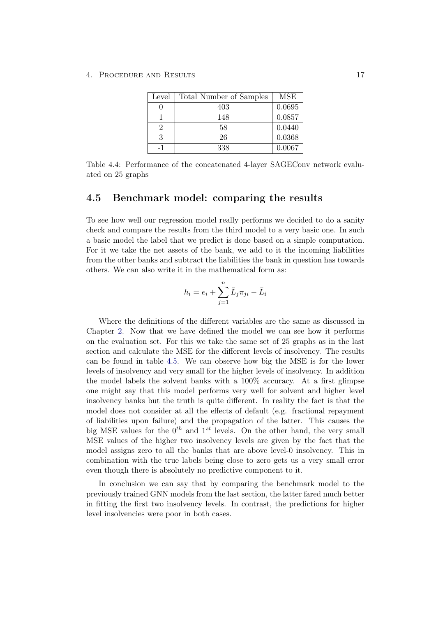| Level | Total Number of Samples | MSE    |
|-------|-------------------------|--------|
|       | 403                     | 0.0695 |
|       | 148                     | 0.0857 |
|       | 58                      | 0.0440 |
| २     | 26                      | 0.0368 |
|       | 338                     | 0.0067 |

<span id="page-19-1"></span>Table 4.4: Performance of the concatenated 4-layer SAGEConv network evaluated on 25 graphs

#### <span id="page-19-0"></span>4.5 Benchmark model: comparing the results

To see how well our regression model really performs we decided to do a sanity check and compare the results from the third model to a very basic one. In such a basic model the label that we predict is done based on a simple computation. For it we take the net assets of the bank, we add to it the incoming liabilities from the other banks and subtract the liabilities the bank in question has towards others. We can also write it in the mathematical form as:

$$
h_i = e_i + \sum_{j=1}^n \bar{L}_j \pi_{ji} - \bar{L}_i
$$

Where the definitions of the different variables are the same as discussed in Chapter [2.](#page-5-0) Now that we have defined the model we can see how it performs on the evaluation set. For this we take the same set of 25 graphs as in the last section and calculate the MSE for the different levels of insolvency. The results can be found in table [4.5.](#page-20-1) We can observe how big the MSE is for the lower levels of insolvency and very small for the higher levels of insolvency. In addition the model labels the solvent banks with a 100% accuracy. At a first glimpse one might say that this model performs very well for solvent and higher level insolvency banks but the truth is quite different. In reality the fact is that the model does not consider at all the effects of default (e.g. fractional repayment of liabilities upon failure) and the propagation of the latter. This causes the big MSE values for the  $0^{th}$  and  $1^{st}$  levels. On the other hand, the very small MSE values of the higher two insolvency levels are given by the fact that the model assigns zero to all the banks that are above level-0 insolvency. This in combination with the true labels being close to zero gets us a very small error even though there is absolutely no predictive component to it.

In conclusion we can say that by comparing the benchmark model to the previously trained GNN models from the last section, the latter fared much better in fitting the first two insolvency levels. In contrast, the predictions for higher level insolvencies were poor in both cases.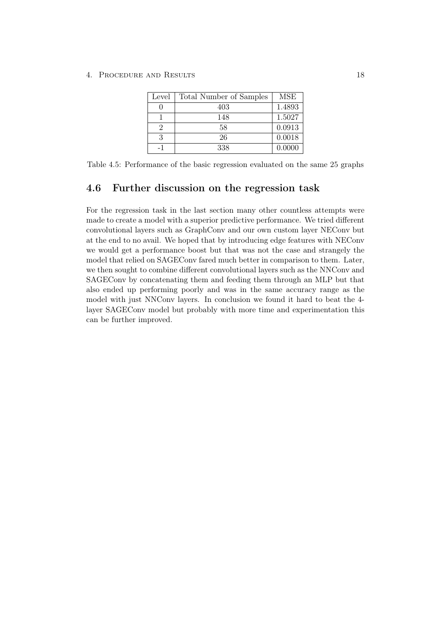4. Procedure and Results 18

| Level | Total Number of Samples | <b>MSE</b> |
|-------|-------------------------|------------|
|       | 403                     | 1.4893     |
|       | 148                     | 1.5027     |
|       | 58                      | 0.0913     |
|       | 26                      | 0.0018     |
|       | 338                     | 0.0000     |

<span id="page-20-1"></span>Table 4.5: Performance of the basic regression evaluated on the same 25 graphs

#### <span id="page-20-0"></span>4.6 Further discussion on the regression task

For the regression task in the last section many other countless attempts were made to create a model with a superior predictive performance. We tried different convolutional layers such as GraphConv and our own custom layer NEConv but at the end to no avail. We hoped that by introducing edge features with NEConv we would get a performance boost but that was not the case and strangely the model that relied on SAGEConv fared much better in comparison to them. Later, we then sought to combine different convolutional layers such as the NNConv and SAGEConv by concatenating them and feeding them through an MLP but that also ended up performing poorly and was in the same accuracy range as the model with just NNConv layers. In conclusion we found it hard to beat the 4 layer SAGEConv model but probably with more time and experimentation this can be further improved.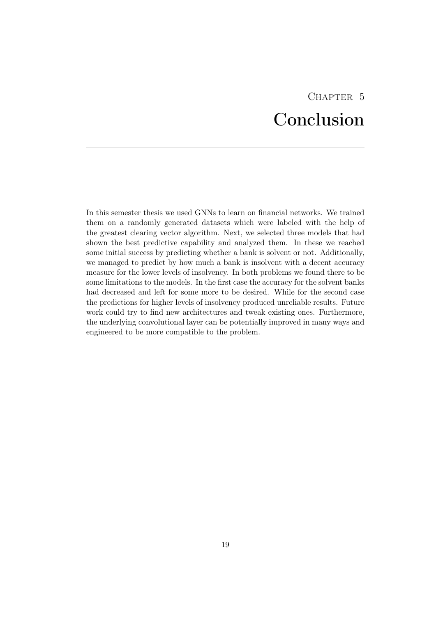# CHAPTER<sub>5</sub> Conclusion

<span id="page-21-0"></span>In this semester thesis we used GNNs to learn on financial networks. We trained them on a randomly generated datasets which were labeled with the help of the greatest clearing vector algorithm. Next, we selected three models that had shown the best predictive capability and analyzed them. In these we reached some initial success by predicting whether a bank is solvent or not. Additionally, we managed to predict by how much a bank is insolvent with a decent accuracy measure for the lower levels of insolvency. In both problems we found there to be some limitations to the models. In the first case the accuracy for the solvent banks had decreased and left for some more to be desired. While for the second case the predictions for higher levels of insolvency produced unreliable results. Future work could try to find new architectures and tweak existing ones. Furthermore, the underlying convolutional layer can be potentially improved in many ways and engineered to be more compatible to the problem.